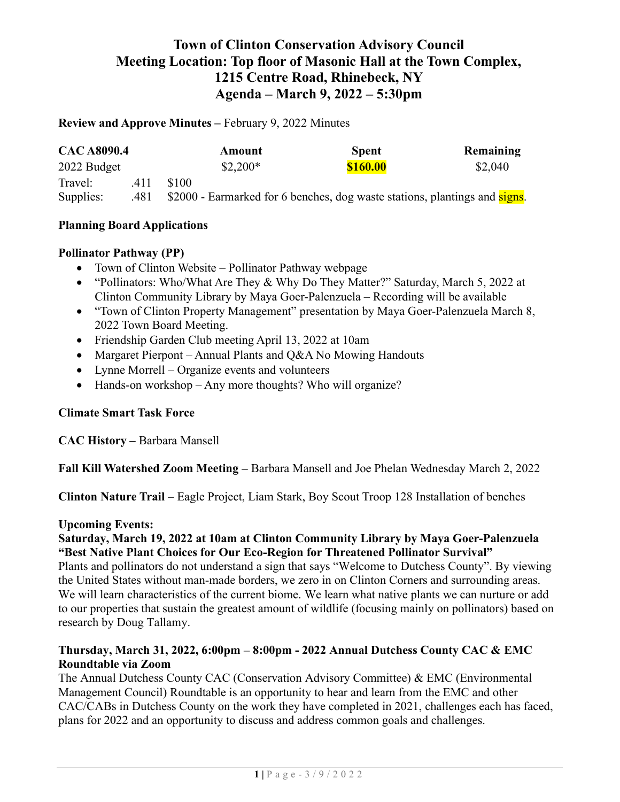# Town of Clinton Conservation Advisory Council Meeting Location: Top floor of Masonic Hall at the Town Complex, 1215 Centre Road, Rhinebeck, NY Agenda – March 9, 2022 – 5:30pm

Review and Approve Minutes – February 9, 2022 Minutes

| <b>CAC A8090.4</b> |      | Amount                                                                     | <b>Spent</b> | Remaining |
|--------------------|------|----------------------------------------------------------------------------|--------------|-----------|
| 2022 Budget        |      | $$2,200*$                                                                  | \$160.00     | \$2,040   |
| Travel:            | .411 | \$100                                                                      |              |           |
| Supplies:          | .481 | \$2000 - Earmarked for 6 benches, dog waste stations, plantings and signs. |              |           |

### Planning Board Applications

### Pollinator Pathway (PP)

- Town of Clinton Website Pollinator Pathway webpage
- "Pollinators: Who/What Are They & Why Do They Matter?" Saturday, March 5, 2022 at Clinton Community Library by Maya Goer-Palenzuela – Recording will be available
- "Town of Clinton Property Management" presentation by Maya Goer-Palenzuela March 8, 2022 Town Board Meeting.
- Friendship Garden Club meeting April 13, 2022 at 10am
- Margaret Pierpont Annual Plants and Q&A No Mowing Handouts
- Lynne Morrell Organize events and volunteers
- Hands-on workshop Any more thoughts? Who will organize?

## Climate Smart Task Force

CAC History – Barbara Mansell

Fall Kill Watershed Zoom Meeting – Barbara Mansell and Joe Phelan Wednesday March 2, 2022

Clinton Nature Trail – Eagle Project, Liam Stark, Boy Scout Troop 128 Installation of benches

#### Upcoming Events:

## Saturday, March 19, 2022 at 10am at Clinton Community Library by Maya Goer-Palenzuela "Best Native Plant Choices for Our Eco-Region for Threatened Pollinator Survival"

Plants and pollinators do not understand a sign that says "Welcome to Dutchess County". By viewing the United States without man-made borders, we zero in on Clinton Corners and surrounding areas. We will learn characteristics of the current biome. We learn what native plants we can nurture or add to our properties that sustain the greatest amount of wildlife (focusing mainly on pollinators) based on research by Doug Tallamy.

# Thursday, March 31, 2022, 6:00pm – 8:00pm - 2022 Annual Dutchess County CAC & EMC Roundtable via Zoom

The Annual Dutchess County CAC (Conservation Advisory Committee) & EMC (Environmental Management Council) Roundtable is an opportunity to hear and learn from the EMC and other CAC/CABs in Dutchess County on the work they have completed in 2021, challenges each has faced, plans for 2022 and an opportunity to discuss and address common goals and challenges.